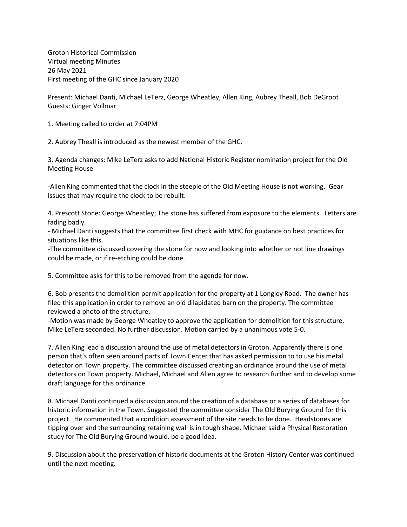Groton Historical Commission Virtual meeting Minutes 26 May 2021 First meeting of the GHC since January 2020

Present: Michael Danti, Michael LeTerz, George Wheatley, Allen King, Aubrey Theall, Bob DeGroot Guests: Ginger Vollmar

1. Meeting called to order at 7:04PM

2. Aubrey Theall is introduced as the newest member of the GHC.

3. Agenda changes: Mike LeTerz asks to add National Historic Register nomination project for the Old Meeting House

-Allen King commented that the clock in the steeple of the Old Meeting House is not working. Gear issues that may require the clock to be rebuilt.

4. Prescott Stone: George Wheatley; The stone has suffered from exposure to the elements. Letters are fading badly.

- Michael Danti suggests that the committee first check with MHC for guidance on best practices for situations like this.

-The committee discussed covering the stone for now and looking into whether or not line drawings could be made, or if re-etching could be done.

5. Committee asks for this to be removed from the agenda for now.

6. Bob presents the demolition permit application for the property at 1 Longley Road. The owner has filed this application in order to remove an old dilapidated barn on the property. The committee reviewed a photo of the structure.

-Motion was made by George Wheatley to approve the application for demolition for this structure. Mike LeTerz seconded. No further discussion. Motion carried by a unanimous vote 5-0.

7. Allen King lead a discussion around the use of metal detectors in Groton. Apparently there is one person that's often seen around parts of Town Center that has asked permission to to use his metal detector on Town property. The committee discussed creating an ordinance around the use of metal detectors on Town property. Michael, Michael and Allen agree to research further and to develop some draft language for this ordinance.

8. Michael Danti continued a discussion around the creation of a database or a series of databases for historic information in the Town. Suggested the committee consider The Old Burying Ground for this project. He commented that a condition assessment of the site needs to be done. Headstones are tipping over and the surrounding retaining wall is in tough shape. Michael said a Physical Restoration study for The Old Burying Ground would. be a good idea.

9. Discussion about the preservation of historic documents at the Groton History Center was continued until the next meeting.